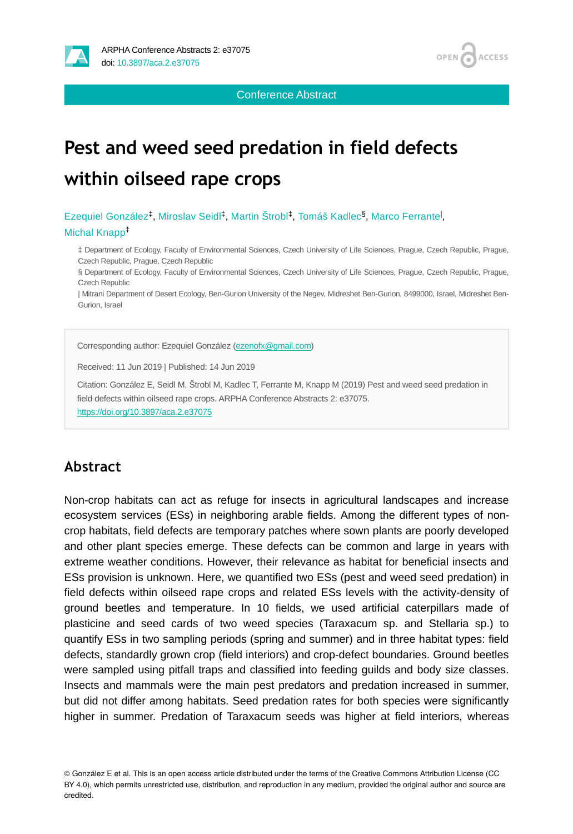



Conference Abstract

# **Pest and weed seed predation in field defects within oilseed rape crops**

Ezequiel González<sup>‡</sup>, Miroslav Seidl<sup>‡</sup>, Martin Štrobl<sup>‡</sup>, Tomáš Kadlec<sup>§</sup>, Marco Ferrante<sup>l</sup>, Michal Knapp ‡

‡ Department of Ecology, Faculty of Environmental Sciences, Czech University of Life Sciences, Prague, Czech Republic, Prague, Czech Republic, Prague, Czech Republic

§ Department of Ecology, Faculty of Environmental Sciences, Czech University of Life Sciences, Prague, Czech Republic, Prague, Czech Republic

| Mitrani Department of Desert Ecology, Ben-Gurion University of the Negev, Midreshet Ben-Gurion, 8499000, Israel, Midreshet Ben-Gurion, Israel

Corresponding author: Ezequiel González [\(ezenofx@gmail.com\)](mailto:ezenofx@gmail.com)

Received: 11 Jun 2019 | Published: 14 Jun 2019

Citation: González E, Seidl M, Štrobl M, Kadlec T, Ferrante M, Knapp M (2019) Pest and weed seed predation in field defects within oilseed rape crops. ARPHA Conference Abstracts 2: e37075.

<https://doi.org/10.3897/aca.2.e37075>

# **Abstract**

Non-crop habitats can act as refuge for insects in agricultural landscapes and increase ecosystem services (ESs) in neighboring arable fields. Among the different types of noncrop habitats, field defects are temporary patches where sown plants are poorly developed and other plant species emerge. These defects can be common and large in years with extreme weather conditions. However, their relevance as habitat for beneficial insects and ESs provision is unknown. Here, we quantified two ESs (pest and weed seed predation) in field defects within oilseed rape crops and related ESs levels with the activity-density of ground beetles and temperature. In 10 fields, we used artificial caterpillars made of plasticine and seed cards of two weed species (Taraxacum sp. and Stellaria sp.) to quantify ESs in two sampling periods (spring and summer) and in three habitat types: field defects, standardly grown crop (field interiors) and crop-defect boundaries. Ground beetles were sampled using pitfall traps and classified into feeding guilds and body size classes. Insects and mammals were the main pest predators and predation increased in summer, but did not differ among habitats. Seed predation rates for both species were significantly higher in summer. Predation of Taraxacum seeds was higher at field interiors, whereas

© González E et al. This is an open access article distributed under the terms of the Creative Commons Attribution License (CC BY 4.0), which permits unrestricted use, distribution, and reproduction in any medium, provided the original author and source are credited.